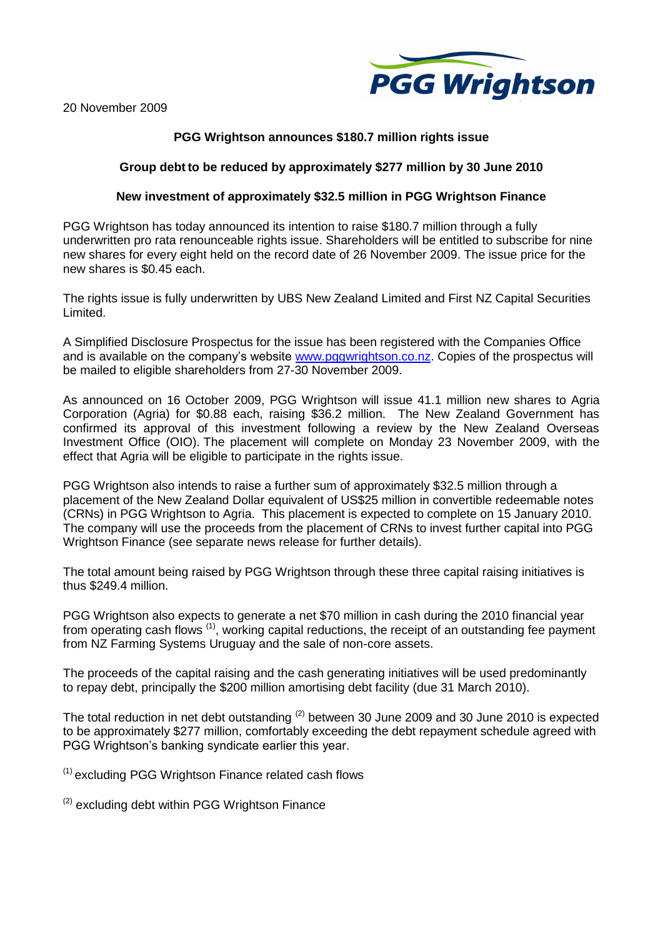

20 November 2009

# **PGG Wrightson announces \$180.7 million rights issue**

## **Group debt to be reduced by approximately \$277 million by 30 June 2010**

### **New investment of approximately \$32.5 million in PGG Wrightson Finance**

PGG Wrightson has today announced its intention to raise \$180.7 million through a fully underwritten pro rata renounceable rights issue. Shareholders will be entitled to subscribe for nine new shares for every eight held on the record date of 26 November 2009. The issue price for the new shares is \$0.45 each.

The rights issue is fully underwritten by UBS New Zealand Limited and First NZ Capital Securities Limited.

A Simplified Disclosure Prospectus for the issue has been registered with the Companies Office and is available on the company's website [www.pggwrightson.co.nz.](http://www.pggwrightson.co.nz/) Copies of the prospectus will be mailed to eligible shareholders from 27-30 November 2009.

As announced on 16 October 2009, PGG Wrightson will issue 41.1 million new shares to Agria Corporation (Agria) for \$0.88 each, raising \$36.2 million. The New Zealand Government has confirmed its approval of this investment following a review by the New Zealand Overseas Investment Office (OIO). The placement will complete on Monday 23 November 2009, with the effect that Agria will be eligible to participate in the rights issue.

PGG Wrightson also intends to raise a further sum of approximately \$32.5 million through a placement of the New Zealand Dollar equivalent of US\$25 million in convertible redeemable notes (CRNs) in PGG Wrightson to Agria. This placement is expected to complete on 15 January 2010. The company will use the proceeds from the placement of CRNs to invest further capital into PGG Wrightson Finance (see separate news release for further details).

The total amount being raised by PGG Wrightson through these three capital raising initiatives is thus \$249.4 million.

PGG Wrightson also expects to generate a net \$70 million in cash during the 2010 financial year from operating cash flows (1), working capital reductions, the receipt of an outstanding fee payment from NZ Farming Systems Uruguay and the sale of non-core assets.

The proceeds of the capital raising and the cash generating initiatives will be used predominantly to repay debt, principally the \$200 million amortising debt facility (due 31 March 2010).

The total reduction in net debt outstanding <sup>(2)</sup> between 30 June 2009 and 30 June 2010 is expected to be approximately \$277 million, comfortably exceeding the debt repayment schedule agreed with PGG Wrightson's banking syndicate earlier this year.

(1) excluding PGG Wrightson Finance related cash flows

 $(2)$  excluding debt within PGG Wrightson Finance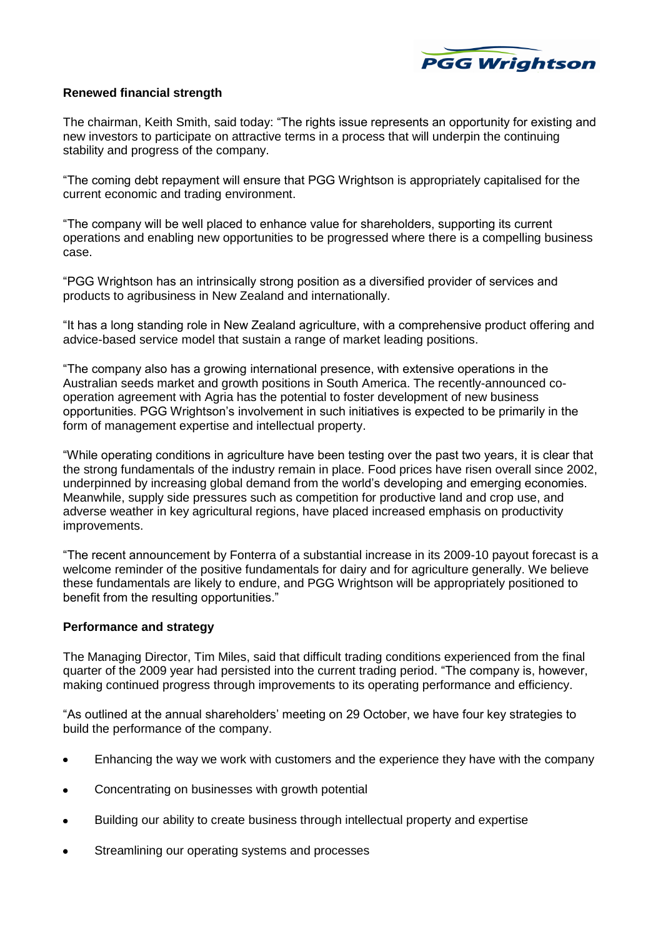

### **Renewed financial strength**

The chairman, Keith Smith, said today: "The rights issue represents an opportunity for existing and new investors to participate on attractive terms in a process that will underpin the continuing stability and progress of the company.

"The coming debt repayment will ensure that PGG Wrightson is appropriately capitalised for the current economic and trading environment.

"The company will be well placed to enhance value for shareholders, supporting its current operations and enabling new opportunities to be progressed where there is a compelling business case.

"PGG Wrightson has an intrinsically strong position as a diversified provider of services and products to agribusiness in New Zealand and internationally.

"It has a long standing role in New Zealand agriculture, with a comprehensive product offering and advice-based service model that sustain a range of market leading positions.

"The company also has a growing international presence, with extensive operations in the Australian seeds market and growth positions in South America. The recently-announced cooperation agreement with Agria has the potential to foster development of new business opportunities. PGG Wrightson's involvement in such initiatives is expected to be primarily in the form of management expertise and intellectual property.

"While operating conditions in agriculture have been testing over the past two years, it is clear that the strong fundamentals of the industry remain in place. Food prices have risen overall since 2002, underpinned by increasing global demand from the world's developing and emerging economies. Meanwhile, supply side pressures such as competition for productive land and crop use, and adverse weather in key agricultural regions, have placed increased emphasis on productivity improvements.

"The recent announcement by Fonterra of a substantial increase in its 2009-10 payout forecast is a welcome reminder of the positive fundamentals for dairy and for agriculture generally. We believe these fundamentals are likely to endure, and PGG Wrightson will be appropriately positioned to benefit from the resulting opportunities."

#### **Performance and strategy**

The Managing Director, Tim Miles, said that difficult trading conditions experienced from the final quarter of the 2009 year had persisted into the current trading period. "The company is, however, making continued progress through improvements to its operating performance and efficiency.

"As outlined at the annual shareholders' meeting on 29 October, we have four key strategies to build the performance of the company.

- $\bullet$ Enhancing the way we work with customers and the experience they have with the company
- Concentrating on businesses with growth potential
- Building our ability to create business through intellectual property and expertise
- Streamlining our operating systems and processes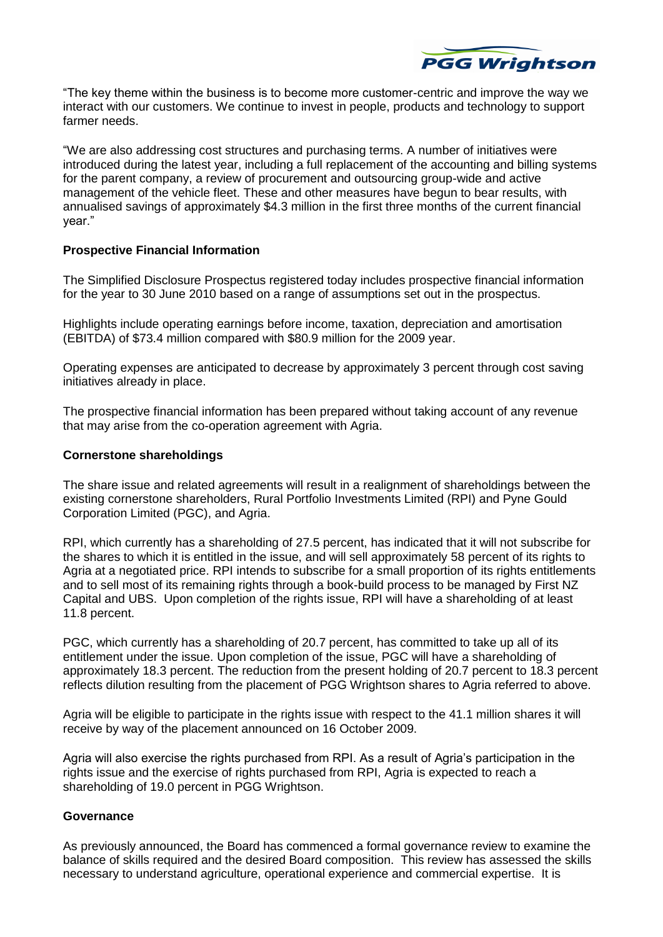

"The key theme within the business is to become more customer-centric and improve the way we interact with our customers. We continue to invest in people, products and technology to support farmer needs.

"We are also addressing cost structures and purchasing terms. A number of initiatives were introduced during the latest year, including a full replacement of the accounting and billing systems for the parent company, a review of procurement and outsourcing group-wide and active management of the vehicle fleet. These and other measures have begun to bear results, with annualised savings of approximately \$4.3 million in the first three months of the current financial year."

### **Prospective Financial Information**

The Simplified Disclosure Prospectus registered today includes prospective financial information for the year to 30 June 2010 based on a range of assumptions set out in the prospectus.

Highlights include operating earnings before income, taxation, depreciation and amortisation (EBITDA) of \$73.4 million compared with \$80.9 million for the 2009 year.

Operating expenses are anticipated to decrease by approximately 3 percent through cost saving initiatives already in place.

The prospective financial information has been prepared without taking account of any revenue that may arise from the co-operation agreement with Agria.

#### **Cornerstone shareholdings**

The share issue and related agreements will result in a realignment of shareholdings between the existing cornerstone shareholders, Rural Portfolio Investments Limited (RPI) and Pyne Gould Corporation Limited (PGC), and Agria.

RPI, which currently has a shareholding of 27.5 percent, has indicated that it will not subscribe for the shares to which it is entitled in the issue, and will sell approximately 58 percent of its rights to Agria at a negotiated price. RPI intends to subscribe for a small proportion of its rights entitlements and to sell most of its remaining rights through a book-build process to be managed by First NZ Capital and UBS. Upon completion of the rights issue, RPI will have a shareholding of at least 11.8 percent.

PGC, which currently has a shareholding of 20.7 percent, has committed to take up all of its entitlement under the issue. Upon completion of the issue, PGC will have a shareholding of approximately 18.3 percent. The reduction from the present holding of 20.7 percent to 18.3 percent reflects dilution resulting from the placement of PGG Wrightson shares to Agria referred to above.

Agria will be eligible to participate in the rights issue with respect to the 41.1 million shares it will receive by way of the placement announced on 16 October 2009.

Agria will also exercise the rights purchased from RPI. As a result of Agria's participation in the rights issue and the exercise of rights purchased from RPI, Agria is expected to reach a shareholding of 19.0 percent in PGG Wrightson.

#### **Governance**

As previously announced, the Board has commenced a formal governance review to examine the balance of skills required and the desired Board composition. This review has assessed the skills necessary to understand agriculture, operational experience and commercial expertise. It is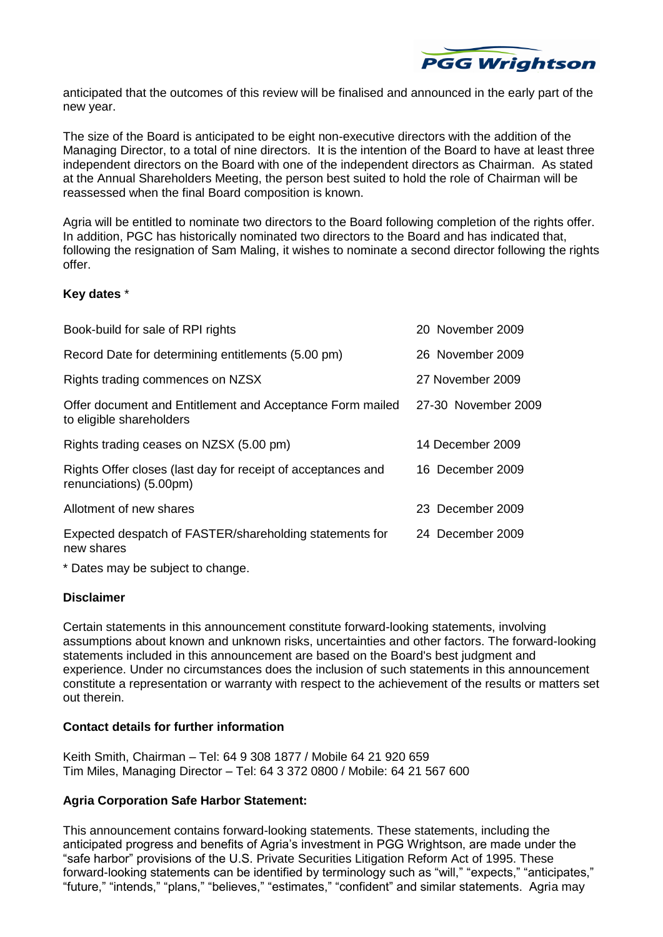

anticipated that the outcomes of this review will be finalised and announced in the early part of the new year.

The size of the Board is anticipated to be eight non-executive directors with the addition of the Managing Director, to a total of nine directors. It is the intention of the Board to have at least three independent directors on the Board with one of the independent directors as Chairman. As stated at the Annual Shareholders Meeting, the person best suited to hold the role of Chairman will be reassessed when the final Board composition is known.

Agria will be entitled to nominate two directors to the Board following completion of the rights offer. In addition, PGC has historically nominated two directors to the Board and has indicated that, following the resignation of Sam Maling, it wishes to nominate a second director following the rights offer.

### **Key dates** \*

| 20 November 2009    |
|---------------------|
| 26 November 2009    |
| 27 November 2009    |
| 27-30 November 2009 |
| 14 December 2009    |
| 16 December 2009    |
| 23 December 2009    |
| 24 December 2009    |
|                     |

\* Dates may be subject to change.

#### **Disclaimer**

Certain statements in this announcement constitute forward-looking statements, involving assumptions about known and unknown risks, uncertainties and other factors. The forward-looking statements included in this announcement are based on the Board's best judgment and experience. Under no circumstances does the inclusion of such statements in this announcement constitute a representation or warranty with respect to the achievement of the results or matters set out therein.

### **Contact details for further information**

Keith Smith, Chairman – Tel: 64 9 308 1877 / Mobile 64 21 920 659 Tim Miles, Managing Director – Tel: 64 3 372 0800 / Mobile: 64 21 567 600

### **Agria Corporation Safe Harbor Statement:**

This announcement contains forward-looking statements. These statements, including the anticipated progress and benefits of Agria's investment in PGG Wrightson, are made under the "safe harbor" provisions of the U.S. Private Securities Litigation Reform Act of 1995. These forward-looking statements can be identified by terminology such as "will," "expects," "anticipates," "future," "intends," "plans," "believes," "estimates," "confident" and similar statements. Agria may